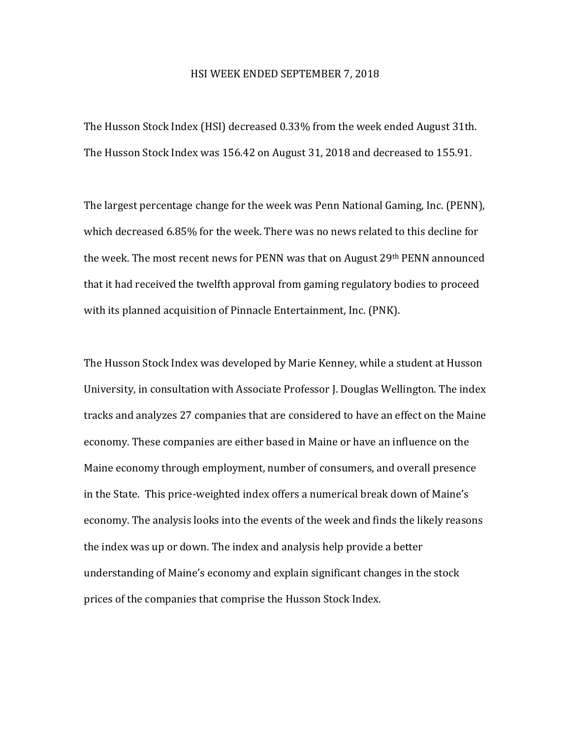## HSI WEEK ENDED SEPTEMBER 7, 2018

The Husson Stock Index (HSI) decreased 0.33% from the week ended August 31th. The Husson Stock Index was 156.42 on August 31, 2018 and decreased to 155.91.

The largest percentage change for the week was Penn National Gaming, Inc. (PENN), which decreased 6.85% for the week. There was no news related to this decline for the week. The most recent news for PENN was that on August 29th PENN announced that it had received the twelfth approval from gaming regulatory bodies to proceed with its planned acquisition of Pinnacle Entertainment, Inc. (PNK).

The Husson Stock Index was developed by Marie Kenney, while a student at Husson University, in consultation with Associate Professor J. Douglas Wellington. The index tracks and analyzes 27 companies that are considered to have an effect on the Maine economy. These companies are either based in Maine or have an influence on the Maine economy through employment, number of consumers, and overall presence in the State. This price-weighted index offers a numerical break down of Maine's economy. The analysis looks into the events of the week and finds the likely reasons the index was up or down. The index and analysis help provide a better understanding of Maine's economy and explain significant changes in the stock prices of the companies that comprise the Husson Stock Index.